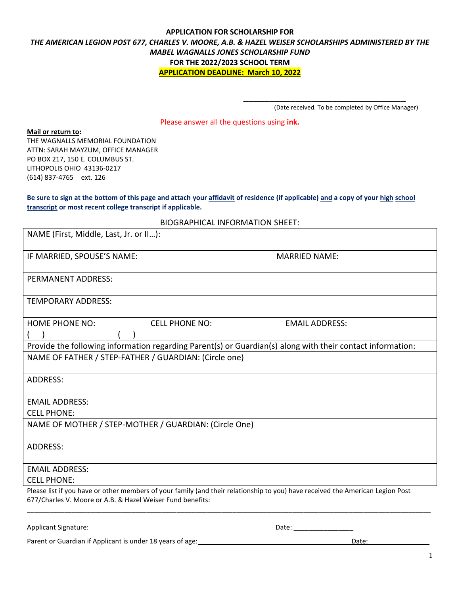# **APPLICATION FOR SCHOLARSHIP FOR** *THE AMERICAN LEGION POST 677, CHARLES V. MOORE, A.B. & HAZEL WEISER SCHOLARSHIPS ADMINISTERED BY THE MABEL WAGNALLS JONES SCHOLARSHIP FUND* **FOR THE 2022/2023 SCHOOL TERM APPLICATION DEADLINE: March 10, 2022**

(Date received. To be completed by Office Manager)

**\_\_\_\_\_\_\_\_\_\_\_\_\_\_\_\_\_\_\_\_\_\_\_\_\_\_\_\_\_\_\_**

Please answer all the questions using **ink.**

#### **Mail or return to:**

THE WAGNALLS MEMORIAL FOUNDATION ATTN: SARAH MAYZUM, OFFICE MANAGER PO BOX 217, 150 E. COLUMBUS ST. LITHOPOLIS OHIO 43136-0217 (614) 837-4765 ext. 126

**Be sure to sign at the bottom of this page and attach your affidavit of residence (if applicable) and a copy of your high school transcript or most recent college transcript if applicable.** 

BIOGRAPHICAL INFORMATION SHEET:

| NAME (First, Middle, Last, Jr. or II):                                                                                                                                                       |                       |
|----------------------------------------------------------------------------------------------------------------------------------------------------------------------------------------------|-----------------------|
| IF MARRIED, SPOUSE'S NAME:                                                                                                                                                                   | <b>MARRIED NAME:</b>  |
| PERMANENT ADDRESS:                                                                                                                                                                           |                       |
| <b>TEMPORARY ADDRESS:</b>                                                                                                                                                                    |                       |
| <b>HOME PHONE NO:</b><br><b>CELL PHONE NO:</b>                                                                                                                                               | <b>EMAIL ADDRESS:</b> |
| Provide the following information regarding Parent(s) or Guardian(s) along with their contact information:                                                                                   |                       |
| NAME OF FATHER / STEP-FATHER / GUARDIAN: (Circle one)                                                                                                                                        |                       |
| <b>ADDRESS:</b>                                                                                                                                                                              |                       |
| <b>EMAIL ADDRESS:</b>                                                                                                                                                                        |                       |
| <b>CELL PHONE:</b>                                                                                                                                                                           |                       |
| NAME OF MOTHER / STEP-MOTHER / GUARDIAN: (Circle One)                                                                                                                                        |                       |
| <b>ADDRESS:</b>                                                                                                                                                                              |                       |
| <b>EMAIL ADDRESS:</b>                                                                                                                                                                        |                       |
| <b>CELL PHONE:</b>                                                                                                                                                                           |                       |
| Please list if you have or other members of your family (and their relationship to you) have received the American Legion Post<br>677/Charles V. Moore or A.B. & Hazel Weiser Fund benefits: |                       |
| Applicant Signature:                                                                                                                                                                         | Date:                 |

Parent or Guardian if Applicant is under 18 years of age: Date: Date: Date: Date: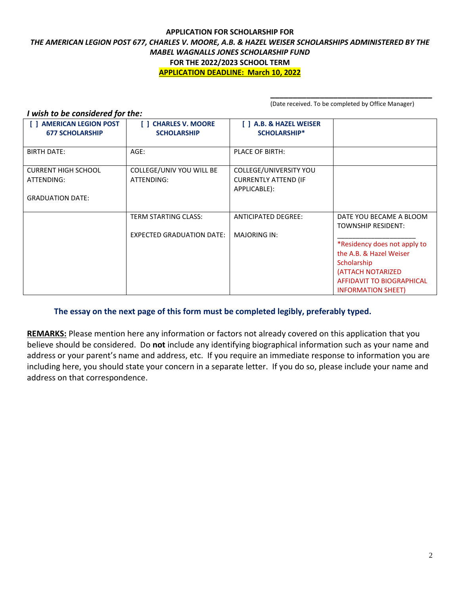#### **APPLICATION FOR SCHOLARSHIP FOR** *THE AMERICAN LEGION POST 677, CHARLES V. MOORE, A.B. & HAZEL WEISER SCHOLARSHIPS ADMINISTERED BY THE MABEL WAGNALLS JONES SCHOLARSHIP FUND* **FOR THE 2022/2023 SCHOOL TERM APPLICATION DEADLINE: March 10, 2022**

**\_\_\_\_\_\_\_\_\_\_\_\_\_\_\_\_\_\_\_\_\_\_\_\_\_\_\_\_\_\_\_\_\_\_\_\_** (Date received. To be completed by Office Manager)

| I wish to be considered for the: |                                  |                             |                              |  |  |  |
|----------------------------------|----------------------------------|-----------------------------|------------------------------|--|--|--|
| <b>AMERICAN LEGION POST</b>      | <b>CHARLES V. MOORE</b>          | [ ] A.B. & HAZEL WEISER     |                              |  |  |  |
| <b>677 SCHOLARSHIP</b>           | <b>SCHOLARSHIP</b>               | <b>SCHOLARSHIP*</b>         |                              |  |  |  |
|                                  |                                  |                             |                              |  |  |  |
| <b>BIRTH DATE:</b>               | AGE:                             | <b>PLACE OF BIRTH:</b>      |                              |  |  |  |
| <b>CURRENT HIGH SCHOOL</b>       | COLLEGE/UNIV YOU WILL BE         | COLLEGE/UNIVERSITY YOU      |                              |  |  |  |
| ATTENDING:                       | ATTENDING:                       | <b>CURRENTLY ATTEND (IF</b> |                              |  |  |  |
|                                  |                                  | APPLICABLE):                |                              |  |  |  |
| <b>GRADUATION DATE:</b>          |                                  |                             |                              |  |  |  |
|                                  |                                  |                             |                              |  |  |  |
|                                  | <b>TERM STARTING CLASS:</b>      | <b>ANTICIPATED DEGREE:</b>  | DATE YOU BECAME A BLOOM      |  |  |  |
|                                  |                                  |                             | <b>TOWNSHIP RESIDENT:</b>    |  |  |  |
|                                  | <b>EXPECTED GRADUATION DATE:</b> | <b>MAJORING IN:</b>         |                              |  |  |  |
|                                  |                                  |                             | *Residency does not apply to |  |  |  |
|                                  |                                  |                             | the A.B. & Hazel Weiser      |  |  |  |
|                                  |                                  |                             | Scholarship                  |  |  |  |
|                                  |                                  |                             | (ATTACH NOTARIZED            |  |  |  |
|                                  |                                  |                             | AFFIDAVIT TO BIOGRAPHICAL    |  |  |  |
|                                  |                                  |                             | <b>INFORMATION SHEET)</b>    |  |  |  |

# **The essay on the next page of this form must be completed legibly, preferably typed.**

**REMARKS:** Please mention here any information or factors not already covered on this application that you believe should be considered. Do **not** include any identifying biographical information such as your name and address or your parent's name and address, etc. If you require an immediate response to information you are including here, you should state your concern in a separate letter. If you do so, please include your name and address on that correspondence.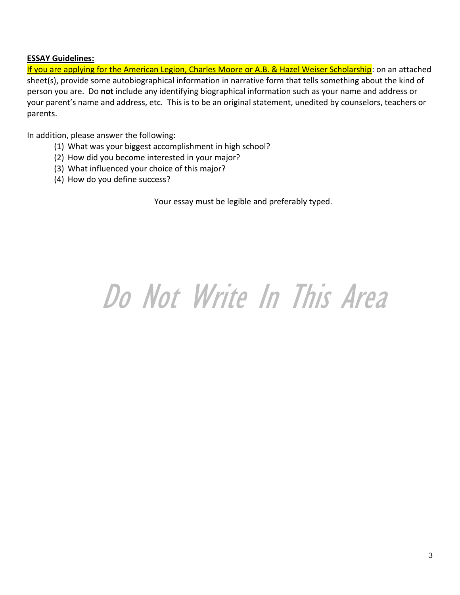# **ESSAY Guidelines:**

If you are applying for the American Legion, Charles Moore or A.B. & Hazel Weiser Scholarship: on an attached sheet(s), provide some autobiographical information in narrative form that tells something about the kind of person you are. Do **not** include any identifying biographical information such as your name and address or your parent's name and address, etc. This is to be an original statement, unedited by counselors, teachers or parents.

In addition, please answer the following:

- (1) What was your biggest accomplishment in high school?
- (2) How did you become interested in your major?
- (3) What influenced your choice of this major?
- (4) How do you define success?

Your essay must be legible and preferably typed.

# Do Not Write In This Area